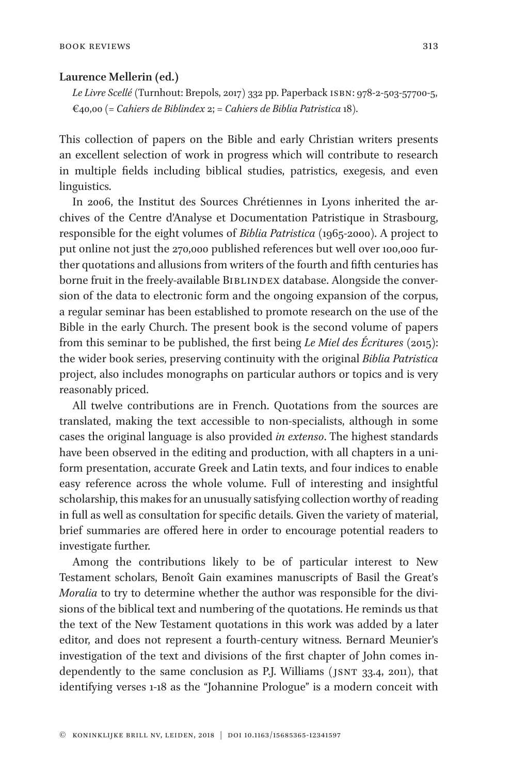## **Laurence Mellerin (ed.)**

*Le Livre Scellé* (Turnhout: Brepols, 2017) 332 pp. Paperback isbn: 978-2-503-57700-5, €40,00 (= *Cahiers de Biblindex* 2; = *Cahiers de Biblia Patristica* 18).

This collection of papers on the Bible and early Christian writers presents an excellent selection of work in progress which will contribute to research in multiple fields including biblical studies, patristics, exegesis, and even linguistics.

In 2006, the Institut des Sources Chrétiennes in Lyons inherited the archives of the Centre d'Analyse et Documentation Patristique in Strasbourg, responsible for the eight volumes of *Biblia Patristica* (1965-2000). A project to put online not just the 270,000 published references but well over 100,000 further quotations and allusions from writers of the fourth and fifth centuries has borne fruit in the freely-available BIBLINDEX database. Alongside the conversion of the data to electronic form and the ongoing expansion of the corpus, a regular seminar has been established to promote research on the use of the Bible in the early Church. The present book is the second volume of papers from this seminar to be published, the first being *Le Miel des Écritures* (2015): the wider book series, preserving continuity with the original *Biblia Patristica*  project, also includes monographs on particular authors or topics and is very reasonably priced.

All twelve contributions are in French. Quotations from the sources are translated, making the text accessible to non-specialists, although in some cases the original language is also provided *in extenso*. The highest standards have been observed in the editing and production, with all chapters in a uniform presentation, accurate Greek and Latin texts, and four indices to enable easy reference across the whole volume. Full of interesting and insightful scholarship, this makes for an unusually satisfying collection worthy of reading in full as well as consultation for specific details. Given the variety of material, brief summaries are offered here in order to encourage potential readers to investigate further.

Among the contributions likely to be of particular interest to New Testament scholars, Benoît Gain examines manuscripts of Basil the Great's *Moralia* to try to determine whether the author was responsible for the divisions of the biblical text and numbering of the quotations. He reminds us that the text of the New Testament quotations in this work was added by a later editor, and does not represent a fourth-century witness. Bernard Meunier's investigation of the text and divisions of the first chapter of John comes independently to the same conclusion as P.J. Williams (JSNT 33.4, 2011), that identifying verses 1-18 as the "Johannine Prologue" is a modern conceit with